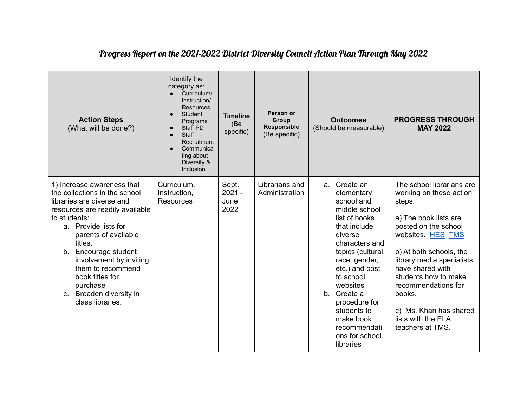| <b>Action Steps</b><br>(What will be done?)                                                                                                                                                                                                                                                                                                                                 | Identify the<br>category as:<br>Curriculum/<br>Instruction/<br><b>Resources</b><br>Student<br>Programs<br>Staff PD<br><b>Staff</b><br>Recruitment<br>Communica<br>ting about<br>Diversity &<br>Inclusion | <b>Timeline</b><br>(Be<br>specific) | Person or<br>Group<br><b>Responsible</b><br>(Be specific) | <b>Outcomes</b><br>(Should be measurable)                                                                                                                                                                                                                                                                           | <b>PROGRESS THROUGH</b><br><b>MAY 2022</b>                                                                                                                                                                                                                                                                                                    |
|-----------------------------------------------------------------------------------------------------------------------------------------------------------------------------------------------------------------------------------------------------------------------------------------------------------------------------------------------------------------------------|----------------------------------------------------------------------------------------------------------------------------------------------------------------------------------------------------------|-------------------------------------|-----------------------------------------------------------|---------------------------------------------------------------------------------------------------------------------------------------------------------------------------------------------------------------------------------------------------------------------------------------------------------------------|-----------------------------------------------------------------------------------------------------------------------------------------------------------------------------------------------------------------------------------------------------------------------------------------------------------------------------------------------|
| 1) Increase awareness that<br>the collections in the school<br>libraries are diverse and<br>resources are readily available<br>to students:<br>a. Provide lists for<br>parents of available<br>titles.<br>Encourage student<br>b.<br>involvement by inviting<br>them to recommend<br>book titles for<br>purchase<br>Broaden diversity in<br>$C_{\cdot}$<br>class libraries. | Curriculum,<br>Instruction,<br><b>Resources</b>                                                                                                                                                          | Sept.<br>$2021 -$<br>June<br>2022   | Librarians and<br>Administration                          | a. Create an<br>elementary<br>school and<br>middle school<br>list of books<br>that include<br>diverse<br>characters and<br>topics (cultural,<br>race, gender,<br>etc.) and post<br>to school<br>websites<br>b. Create a<br>procedure for<br>students to<br>make book<br>recommendati<br>ons for school<br>libraries | The school librarians are<br>working on these action<br>steps.<br>a) The book lists are<br>posted on the school<br>websites. HES TMS<br>b) At both schools, the<br>library media specialists<br>have shared with<br>students how to make<br>recommendations for<br>books.<br>c) Ms. Khan has shared<br>lists with the ELA<br>teachers at TMS. |

## Progress Report on the 2021-2022 District Diversity Council Action Plan Through May 2022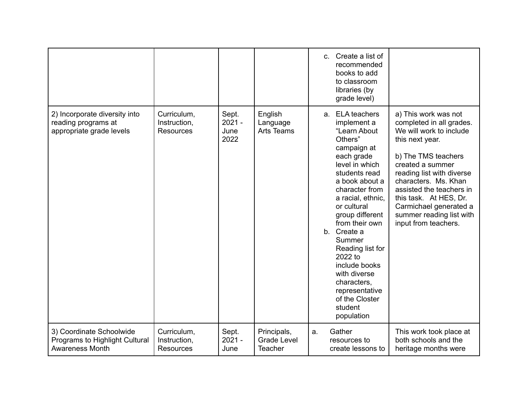|                                                                                  |                                                 |                                   |                                                     | $\mathbf{C}$ . | Create a list of<br>recommended<br>books to add<br>to classroom<br>libraries (by<br>grade level)                                                                                                                                                                                                                                                                                                            |                                                                                                                                                                                                                                                                                                                                    |
|----------------------------------------------------------------------------------|-------------------------------------------------|-----------------------------------|-----------------------------------------------------|----------------|-------------------------------------------------------------------------------------------------------------------------------------------------------------------------------------------------------------------------------------------------------------------------------------------------------------------------------------------------------------------------------------------------------------|------------------------------------------------------------------------------------------------------------------------------------------------------------------------------------------------------------------------------------------------------------------------------------------------------------------------------------|
| 2) Incorporate diversity into<br>reading programs at<br>appropriate grade levels | Curriculum,<br>Instruction,<br><b>Resources</b> | Sept.<br>$2021 -$<br>June<br>2022 | English<br>Language<br><b>Arts Teams</b>            |                | a. ELA teachers<br>implement a<br>"Learn About<br>Others"<br>campaign at<br>each grade<br>level in which<br>students read<br>a book about a<br>character from<br>a racial, ethnic,<br>or cultural<br>group different<br>from their own<br>b. Create a<br>Summer<br>Reading list for<br>2022 to<br>include books<br>with diverse<br>characters,<br>representative<br>of the Closter<br>student<br>population | a) This work was not<br>completed in all grades.<br>We will work to include<br>this next year.<br>b) The TMS teachers<br>created a summer<br>reading list with diverse<br>characters. Ms. Khan<br>assisted the teachers in<br>this task. At HES, Dr.<br>Carmichael generated a<br>summer reading list with<br>input from teachers. |
| 3) Coordinate Schoolwide<br>Programs to Highlight Cultural<br>Awareness Month    | Curriculum,<br>Instruction,<br><b>Resources</b> | Sept.<br>$2021 -$<br>June         | Principals,<br><b>Grade Level</b><br><b>Teacher</b> | a.             | Gather<br>resources to<br>create lessons to                                                                                                                                                                                                                                                                                                                                                                 | This work took place at<br>both schools and the<br>heritage months were                                                                                                                                                                                                                                                            |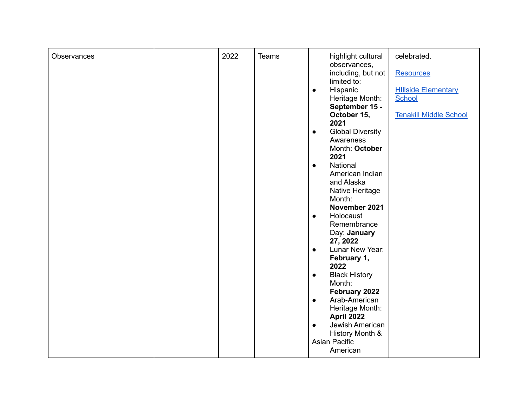|             | 2022 | <b>Teams</b> |                                      | celebrated.                   |
|-------------|------|--------------|--------------------------------------|-------------------------------|
| Observances |      |              | highlight cultural<br>observances,   |                               |
|             |      |              | including, but not                   | <b>Resources</b>              |
|             |      |              | limited to:                          |                               |
|             |      |              | Hispanic<br>$\bullet$                | <b>Hillside Elementary</b>    |
|             |      |              | Heritage Month:                      | School                        |
|             |      |              | September 15 -                       |                               |
|             |      |              | October 15,                          | <b>Tenakill Middle School</b> |
|             |      |              | 2021                                 |                               |
|             |      |              | <b>Global Diversity</b><br>$\bullet$ |                               |
|             |      |              | Awareness                            |                               |
|             |      |              | Month: October                       |                               |
|             |      |              | 2021                                 |                               |
|             |      |              | National<br>$\bullet$                |                               |
|             |      |              | American Indian                      |                               |
|             |      |              | and Alaska                           |                               |
|             |      |              | Native Heritage                      |                               |
|             |      |              | Month:<br>November 2021              |                               |
|             |      |              | Holocaust<br>$\bullet$               |                               |
|             |      |              | Remembrance                          |                               |
|             |      |              | Day: January                         |                               |
|             |      |              | 27, 2022                             |                               |
|             |      |              | Lunar New Year:<br>$\bullet$         |                               |
|             |      |              | February 1,                          |                               |
|             |      |              | 2022                                 |                               |
|             |      |              | <b>Black History</b><br>$\bullet$    |                               |
|             |      |              | Month:                               |                               |
|             |      |              | February 2022                        |                               |
|             |      |              | Arab-American<br>$\bullet$           |                               |
|             |      |              | Heritage Month:                      |                               |
|             |      |              | April 2022                           |                               |
|             |      |              | Jewish American<br>$\bullet$         |                               |
|             |      |              | History Month &                      |                               |
|             |      |              | <b>Asian Pacific</b>                 |                               |
|             |      |              | American                             |                               |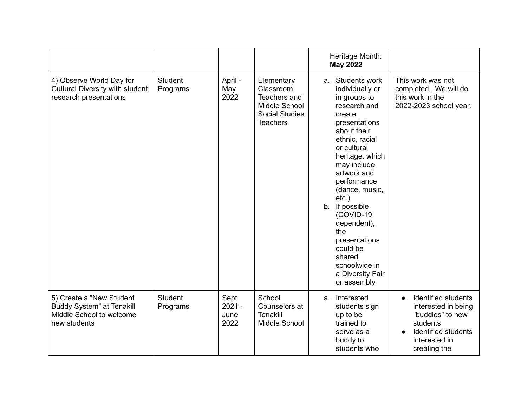|                                                                                                           |                            |                                   |                                                                                                      | Heritage Month:<br><b>May 2022</b>                                                                                                                                                                                                                                                                                                                                                              |                                                                                                                                                 |
|-----------------------------------------------------------------------------------------------------------|----------------------------|-----------------------------------|------------------------------------------------------------------------------------------------------|-------------------------------------------------------------------------------------------------------------------------------------------------------------------------------------------------------------------------------------------------------------------------------------------------------------------------------------------------------------------------------------------------|-------------------------------------------------------------------------------------------------------------------------------------------------|
| 4) Observe World Day for<br>Cultural Diversity with student<br>research presentations                     | <b>Student</b><br>Programs | April -<br>May<br>2022            | Elementary<br>Classroom<br>Teachers and<br>Middle School<br><b>Social Studies</b><br><b>Teachers</b> | a. Students work<br>individually or<br>in groups to<br>research and<br>create<br>presentations<br>about their<br>ethnic, racial<br>or cultural<br>heritage, which<br>may include<br>artwork and<br>performance<br>(dance, music,<br>$etc.$ )<br>If possible<br>b.<br>(COVID-19<br>dependent),<br>the<br>presentations<br>could be<br>shared<br>schoolwide in<br>a Diversity Fair<br>or assembly | This work was not<br>completed. We will do<br>this work in the<br>2022-2023 school year.                                                        |
| 5) Create a "New Student"<br><b>Buddy System" at Tenakill</b><br>Middle School to welcome<br>new students | <b>Student</b><br>Programs | Sept.<br>$2021 -$<br>June<br>2022 | School<br>Counselors at<br>Tenakill<br>Middle School                                                 | Interested<br>a.<br>students sign<br>up to be<br>trained to<br>serve as a<br>buddy to<br>students who                                                                                                                                                                                                                                                                                           | Identified students<br>$\bullet$<br>interested in being<br>"buddies" to new<br>students<br>Identified students<br>interested in<br>creating the |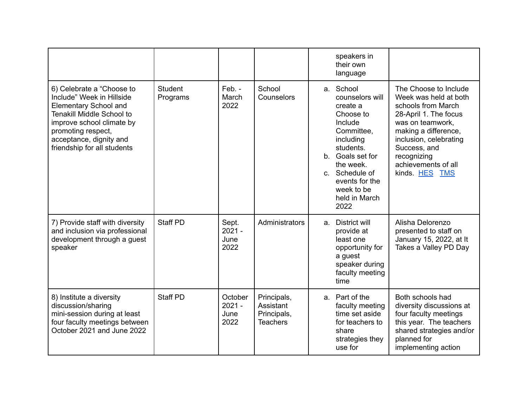|                                                                                                                                                                                                                                         |                            |                                     |                                                            |    | speakers in<br>their own<br>language                                                                                                                                                                                 |                                                                                                                                                                                                                                             |
|-----------------------------------------------------------------------------------------------------------------------------------------------------------------------------------------------------------------------------------------|----------------------------|-------------------------------------|------------------------------------------------------------|----|----------------------------------------------------------------------------------------------------------------------------------------------------------------------------------------------------------------------|---------------------------------------------------------------------------------------------------------------------------------------------------------------------------------------------------------------------------------------------|
| 6) Celebrate a "Choose to<br>Include" Week in Hillside<br><b>Elementary School and</b><br><b>Tenakill Middle School to</b><br>improve school climate by<br>promoting respect,<br>acceptance, dignity and<br>friendship for all students | <b>Student</b><br>Programs | Feb. -<br>March<br>2022             | School<br>Counselors                                       |    | a. School<br>counselors will<br>create a<br>Choose to<br>Include<br>Committee.<br>including<br>students.<br>b. Goals set for<br>the week.<br>c. Schedule of<br>events for the<br>week to be<br>held in March<br>2022 | The Choose to Include<br>Week was held at both<br>schools from March<br>28-April 1. The focus<br>was on teamwork,<br>making a difference,<br>inclusion, celebrating<br>Success, and<br>recognizing<br>achievements of all<br>kinds. HES TMS |
| 7) Provide staff with diversity<br>and inclusion via professional<br>development through a guest<br>speaker                                                                                                                             | <b>Staff PD</b>            | Sept.<br>$2021 -$<br>June<br>2022   | Administrators                                             | a. | District will<br>provide at<br>least one<br>opportunity for<br>a guest<br>speaker during<br>faculty meeting<br>time                                                                                                  | Alisha Delorenzo<br>presented to staff on<br>January 15, 2022, at It<br>Takes a Valley PD Day                                                                                                                                               |
| 8) Institute a diversity<br>discussion/sharing<br>mini-session during at least<br>four faculty meetings between<br>October 2021 and June 2022                                                                                           | <b>Staff PD</b>            | October<br>$2021 -$<br>June<br>2022 | Principals,<br>Assistant<br>Principals,<br><b>Teachers</b> |    | a. Part of the<br>faculty meeting<br>time set aside<br>for teachers to<br>share<br>strategies they<br>use for                                                                                                        | Both schools had<br>diversity discussions at<br>four faculty meetings<br>this year. The teachers<br>shared strategies and/or<br>planned for<br>implementing action                                                                          |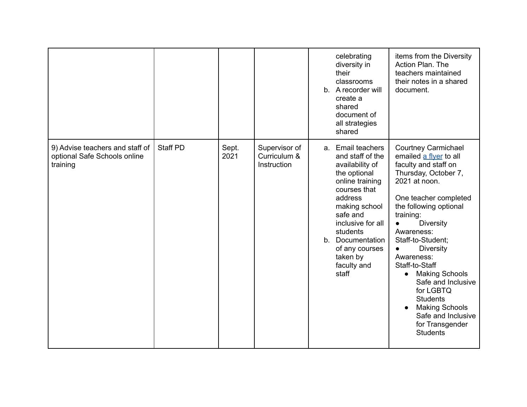|                                                                             |                 |               |                                              | celebrating<br>diversity in<br>their<br>classrooms<br>b. A recorder will<br>create a<br>shared<br>document of<br>all strategies<br>shared                                                                                                                      | items from the Diversity<br>Action Plan. The<br>teachers maintained<br>their notes in a shared<br>document.                                                                                                                                                                                                                                                                                                                                                                                          |
|-----------------------------------------------------------------------------|-----------------|---------------|----------------------------------------------|----------------------------------------------------------------------------------------------------------------------------------------------------------------------------------------------------------------------------------------------------------------|------------------------------------------------------------------------------------------------------------------------------------------------------------------------------------------------------------------------------------------------------------------------------------------------------------------------------------------------------------------------------------------------------------------------------------------------------------------------------------------------------|
| 9) Advise teachers and staff of<br>optional Safe Schools online<br>training | <b>Staff PD</b> | Sept.<br>2021 | Supervisor of<br>Curriculum &<br>Instruction | a. Email teachers<br>and staff of the<br>availability of<br>the optional<br>online training<br>courses that<br>address<br>making school<br>safe and<br>inclusive for all<br>students<br>b. Documentation<br>of any courses<br>taken by<br>faculty and<br>staff | <b>Courtney Carmichael</b><br>emailed a flyer to all<br>faculty and staff on<br>Thursday, October 7,<br>2021 at noon.<br>One teacher completed<br>the following optional<br>training:<br><b>Diversity</b><br>$\bullet$<br>Awareness:<br>Staff-to-Student;<br>Diversity<br>$\bullet$<br>Awareness:<br>Staff-to-Staff<br><b>Making Schools</b><br>$\bullet$<br>Safe and Inclusive<br>for LGBTQ<br><b>Students</b><br><b>Making Schools</b><br>Safe and Inclusive<br>for Transgender<br><b>Students</b> |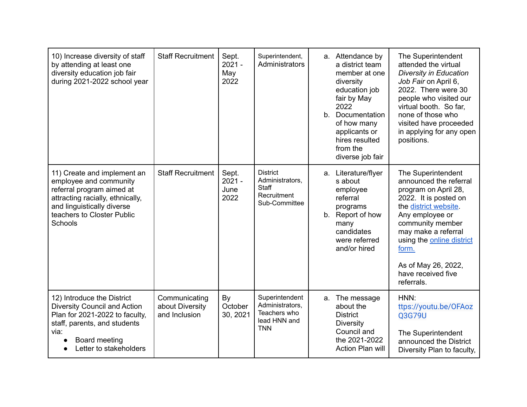| 10) Increase diversity of staff<br>by attending at least one<br>diversity education job fair<br>during 2021-2022 school year                                                                  | <b>Staff Recruitment</b>                          | Sept.<br>$2021 -$<br>May<br>2022  | Superintendent,<br>Administrators                                               | b. | a. Attendance by<br>a district team<br>member at one<br>diversity<br>education job<br>fair by May<br>2022<br>Documentation<br>of how many<br>applicants or<br>hires resulted<br>from the<br>diverse job fair | The Superintendent<br>attended the virtual<br><b>Diversity in Education</b><br>Job Fair on April 6,<br>2022. There were 30<br>people who visited our<br>virtual booth. So far,<br>none of those who<br>visited have proceeded<br>in applying for any open<br>positions.               |
|-----------------------------------------------------------------------------------------------------------------------------------------------------------------------------------------------|---------------------------------------------------|-----------------------------------|---------------------------------------------------------------------------------|----|--------------------------------------------------------------------------------------------------------------------------------------------------------------------------------------------------------------|---------------------------------------------------------------------------------------------------------------------------------------------------------------------------------------------------------------------------------------------------------------------------------------|
| 11) Create and implement an<br>employee and community<br>referral program aimed at<br>attracting racially, ethnically,<br>and linguistically diverse<br>teachers to Closter Public<br>Schools | <b>Staff Recruitment</b>                          | Sept.<br>$2021 -$<br>June<br>2022 | <b>District</b><br>Administrators,<br>Staff<br>Recruitment<br>Sub-Committee     | b. | a. Literature/flyer<br>s about<br>employee<br>referral<br>programs<br>Report of how<br>many<br>candidates<br>were referred<br>and/or hired                                                                   | The Superintendent<br>announced the referral<br>program on April 28,<br>2022. It is posted on<br>the district website.<br>Any employee or<br>community member<br>may make a referral<br>using the online district<br>form.<br>As of May 26, 2022,<br>have received five<br>referrals. |
| 12) Introduce the District<br><b>Diversity Council and Action</b><br>Plan for 2021-2022 to faculty,<br>staff, parents, and students<br>via:<br>Board meeting<br>Letter to stakeholders        | Communicating<br>about Diversity<br>and Inclusion | By<br>October<br>30, 2021         | Superintendent<br>Administrators,<br>Teachers who<br>lead HNN and<br><b>TNN</b> | а. | The message<br>about the<br><b>District</b><br><b>Diversity</b><br>Council and<br>the 2021-2022<br><b>Action Plan will</b>                                                                                   | HNN:<br>ttps://youtu.be/OFAoz<br>Q3G79U<br>The Superintendent<br>announced the District<br>Diversity Plan to faculty,                                                                                                                                                                 |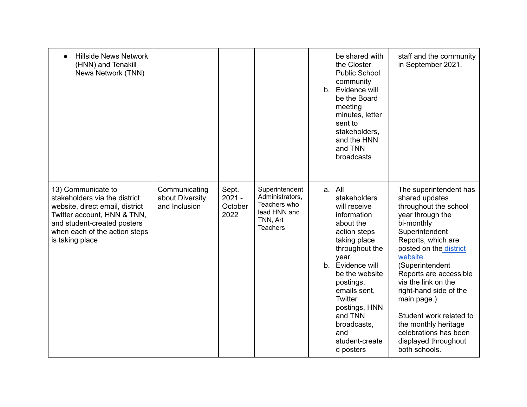| <b>Hillside News Network</b><br>(HNN) and Tenakill<br>News Network (TNN)                                                                                                                                 |                                                   |                                      |                                                                                                  | be shared with<br>the Closter<br><b>Public School</b><br>community<br>b. Evidence will<br>be the Board<br>meeting<br>minutes, letter<br>sent to<br>stakeholders.<br>and the HNN<br>and TNN<br>broadcasts                                                                                           | staff and the community<br>in September 2021.                                                                                                                                                                                                                                                                                                                                                                       |
|----------------------------------------------------------------------------------------------------------------------------------------------------------------------------------------------------------|---------------------------------------------------|--------------------------------------|--------------------------------------------------------------------------------------------------|----------------------------------------------------------------------------------------------------------------------------------------------------------------------------------------------------------------------------------------------------------------------------------------------------|---------------------------------------------------------------------------------------------------------------------------------------------------------------------------------------------------------------------------------------------------------------------------------------------------------------------------------------------------------------------------------------------------------------------|
| 13) Communicate to<br>stakeholders via the district<br>website, direct email, district<br>Twitter account, HNN & TNN,<br>and student-created posters<br>when each of the action steps<br>is taking place | Communicating<br>about Diversity<br>and Inclusion | Sept.<br>$2021 -$<br>October<br>2022 | Superintendent<br>Administrators,<br>Teachers who<br>lead HNN and<br>TNN, Art<br><b>Teachers</b> | a. All<br>stakeholders<br>will receive<br>information<br>about the<br>action steps<br>taking place<br>throughout the<br>year<br>b. Evidence will<br>be the website<br>postings,<br>emails sent,<br><b>Twitter</b><br>postings, HNN<br>and TNN<br>broadcasts,<br>and<br>student-create<br>d posters | The superintendent has<br>shared updates<br>throughout the school<br>year through the<br>bi-monthly<br>Superintendent<br>Reports, which are<br>posted on the district<br>website.<br>(Superintendent<br>Reports are accessible<br>via the link on the<br>right-hand side of the<br>main page.)<br>Student work related to<br>the monthly heritage<br>celebrations has been<br>displayed throughout<br>both schools. |